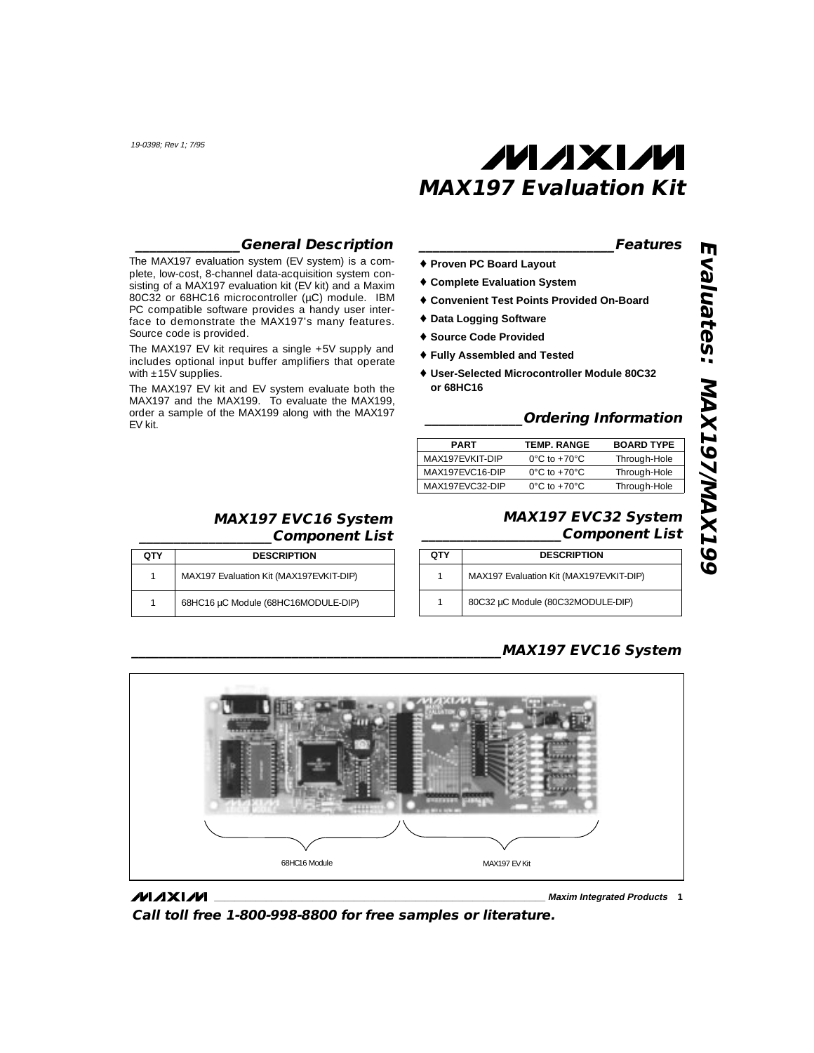Source code is provided.

with  $\pm 15V$  supplies.

EV kit.

# **MAXM MAX197 Evaluation Kit**

### **\_\_\_\_\_\_\_\_\_\_\_\_\_\_\_\_\_\_\_\_\_\_\_\_\_\_\_\_Features**

- ♦ **Proven PC Board Layout**
- ♦ **Complete Evaluation System**
- ♦ **Convenient Test Points Provided On-Board**
- ♦ **Data Logging Software**
- ♦ **Source Code Provided**
- ♦ **Fully Assembled and Tested**
- ♦ **User-Selected Microcontroller Module 80C32 or 68HC16**

### **\_\_\_\_\_\_\_\_\_\_\_\_\_\_Ordering Information**

| <b>PART</b>     | <b>TEMP. RANGE</b>                | <b>BOARD TYPE</b> |
|-----------------|-----------------------------------|-------------------|
| MAX197FVKIT-DIP | $0^{\circ}$ C to +70 $^{\circ}$ C | Through-Hole      |
| MAX197FVC16-DIP | $0^{\circ}$ C to +70 $^{\circ}$ C | Through-Hole      |
| MAX197FVC32-DIP | $0^{\circ}$ C to +70 $^{\circ}$ C | Through-Hole      |

### **\_\_\_\_\_\_\_\_\_\_\_\_MAX197 EVC16 System \_\_\_\_\_\_\_\_\_\_\_\_\_\_\_\_\_\_\_Component List**

**\_\_\_\_\_\_\_\_\_\_\_\_\_\_\_General Description**

The MAX197 evaluation system (EV system) is a complete, low-cost, 8-channel data-acquisition system consisting of a MAX197 evaluation kit (EV kit) and a Maxim 80C32 or 68HC16 microcontroller (µC) module. IBM PC compatible software provides a handy user interface to demonstrate the MAX197's many features.

The MAX197 EV kit requires a single +5V supply and includes optional input buffer amplifiers that operate

The MAX197 EV kit and EV system evaluate both the MAX197 and the MAX199. To evaluate the MAX199, order a sample of the MAX199 along with the MAX197

| отү | <b>DESCRIPTION</b>                      |
|-----|-----------------------------------------|
| 1   | MAX197 Evaluation Kit (MAX197EVKIT-DIP) |
| 1   | 68HC16 µC Module (68HC16MODULE-DIP)     |

## **\_\_\_\_\_\_\_\_\_\_\_\_MAX197 EVC32 System \_\_\_\_\_\_\_\_\_\_\_\_\_\_\_\_\_\_\_\_Component List**

| QTY | <b>DESCRIPTION</b>                      |
|-----|-----------------------------------------|
|     | MAX197 Evaluation Kit (MAX197EVKIT-DIP) |
|     | 80C32 µC Module (80C32MODULE-DIP)       |

### **\_\_\_\_\_\_\_\_\_\_\_\_\_\_\_\_\_\_\_\_\_\_\_\_\_\_\_\_\_\_\_\_\_\_\_\_\_\_\_\_\_\_\_\_\_\_\_\_\_\_\_\_\_MAX197 EVC16 System**



### **MAXIM**

**\_\_\_\_\_\_\_\_\_\_\_\_\_\_\_\_\_\_\_\_\_\_\_\_\_\_\_\_\_\_\_\_\_\_\_\_\_\_\_\_\_\_\_\_\_\_\_\_\_\_\_\_\_\_\_\_\_\_\_\_\_\_\_\_ Maxim Integrated Products 1**

**Call toll free 1-800-998-8800 for free samples or literature.**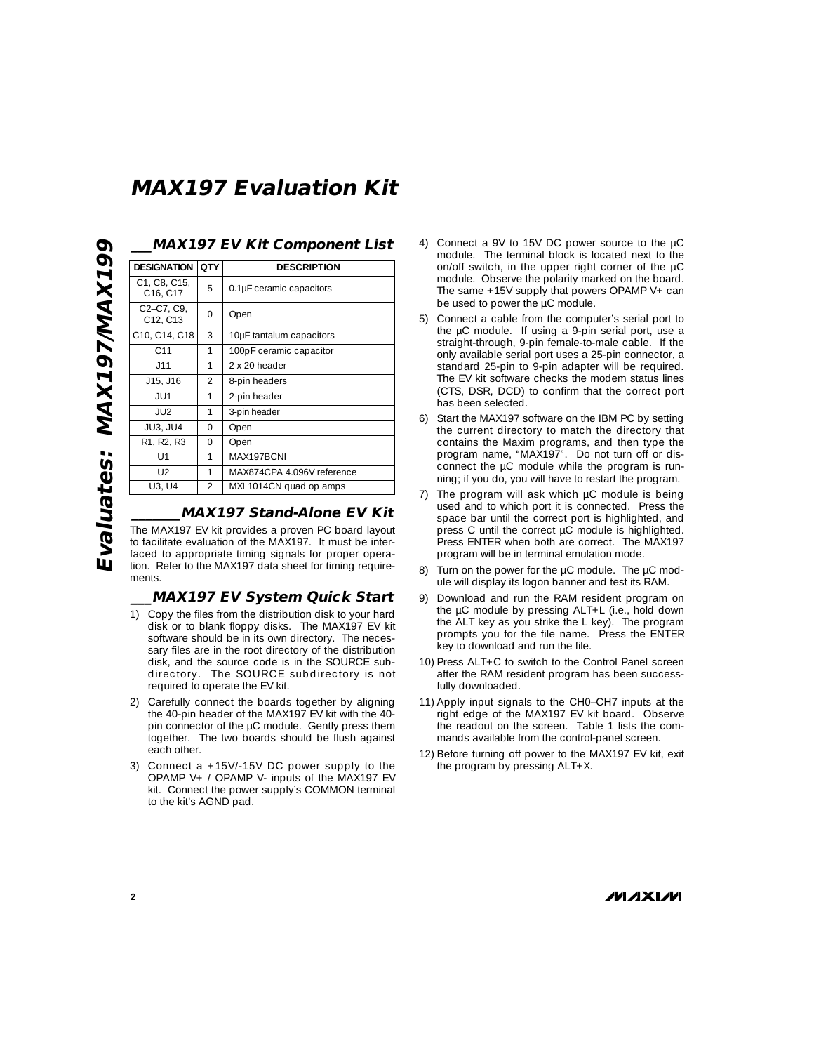| <b>DESIGNATION</b>                                          | QTY            | <b>DESCRIPTION</b>         |
|-------------------------------------------------------------|----------------|----------------------------|
| C1, C8, C15,<br>C16, C17                                    | 5              | 0.1µF ceramic capacitors   |
| C <sub>2</sub> -C <sub>7</sub> , C <sub>9</sub><br>C12, C13 | U              | Open                       |
| C10, C14, C18                                               | 3              | 10µF tantalum capacitors   |
| C <sub>11</sub>                                             | 1              | 100pF ceramic capacitor    |
| J11                                                         | 1              | 2 x 20 header              |
| J15, J16                                                    | $\mathfrak{D}$ | 8-pin headers              |
| JU1                                                         | 1              | 2-pin header               |
| JU <sub>2</sub>                                             | 1              | 3-pin header               |
| <b>JU3. JU4</b>                                             | $\Omega$       | Open                       |
| R <sub>1</sub> , R <sub>2</sub> , R <sub>3</sub>            | $\Omega$       | Open                       |
| U1                                                          | 1              | MAX197BCNI                 |
| 12                                                          |                | MAX874CPA 4.096V reference |
| U3, U4                                                      | 2              | MXL1014CN quad op amps     |

### **\_\_\_MAX197 EV Kit Component List**

**\_\_\_\_\_\_\_MAX197 Stand-Alone EV Kit** The MAX197 EV kit provides a proven PC board layout to facilitate evaluation of the MAX197. It must be interfaced to appropriate timing signals for proper operation. Refer to the MAX197 data sheet for timing require-

#### **\_\_\_MAX197 EV System Quick Start**

- 1) Copy the files from the distribution disk to your hard disk or to blank floppy disks. The MAX197 EV kit software should be in its own directory. The necessary files are in the root directory of the distribution disk, and the source code is in the SOURCE subdirectory. The SOURCE subdirectory is not required to operate the EV kit.
- 2) Carefully connect the boards together by aligning the 40-pin header of the MAX197 EV kit with the 40 pin connector of the µC module. Gently press them together. The two boards should be flush against each other.
- 3) Connect a +15V/-15V DC power supply to the OPAMP V+ / OPAMP V- inputs of the MAX197 EV kit. Connect the power supply's COMMON terminal to the kit's AGND pad.
- 4) Connect a 9V to 15V DC power source to the µC module. The terminal block is located next to the on/off switch, in the upper right corner of the µC module. Observe the polarity marked on the board. The same +15V supply that powers OPAMP V+ can be used to power the µC module.
- 5) Connect a cable from the computer's serial port to the µC module. If using a 9-pin serial port, use a straight-through, 9-pin female-to-male cable. If the only available serial port uses a 25-pin connector, a standard 25-pin to 9-pin adapter will be required. The EV kit software checks the modem status lines (CTS, DSR, DCD) to confirm that the correct port has been selected.
- 6) Start the MAX197 software on the IBM PC by setting the current directory to match the directory that contains the Maxim programs, and then type the program name, "MAX197". Do not turn off or disconnect the µC module while the program is running; if you do, you will have to restart the program.
- 7) The program will ask which µC module is being used and to which port it is connected. Press the space bar until the correct port is highlighted, and press C until the correct µC module is highlighted. Press ENTER when both are correct. The MAX197 program will be in terminal emulation mode.
- 8) Turn on the power for the µC module. The µC module will display its logon banner and test its RAM.
- 9) Download and run the RAM resident program on the µC module by pressing ALT+L (i.e., hold down the ALT key as you strike the L key). The program prompts you for the file name. Press the ENTER key to download and run the file.
- 10) Press ALT+C to switch to the Control Panel screen after the RAM resident program has been successfully downloaded.
- 11) Apply input signals to the CH0–CH7 inputs at the right edge of the MAX197 EV kit board. Observe the readout on the screen. Table 1 lists the commands available from the control-panel screen.
- 12) Before turning off power to the MAX197 EV kit, exit the program by pressing ALT+X.

**MAXIM** 

Evaluates: MAX197/MAX199 **Evaluates: MAX197/MAX199**

ments.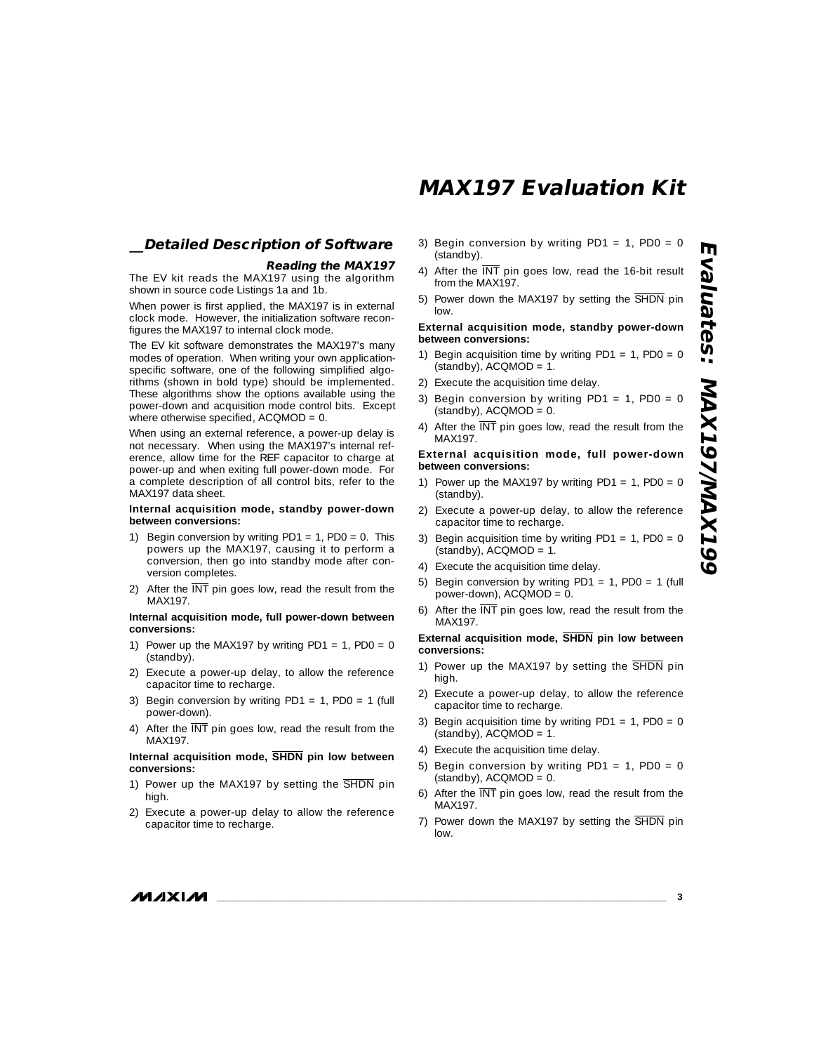## **\_\_Detailed Description of Software**

#### **Reading the MAX197**

The EV kit reads the MAX197 using the algorithm shown in source code Listings 1a and 1b.

When power is first applied, the MAX197 is in external clock mode. However, the initialization software reconfigures the MAX197 to internal clock mode.

The EV kit software demonstrates the MAX197's many modes of operation. When writing your own applicationspecific software, one of the following simplified algorithms (shown in bold type) should be implemented. These algorithms show the options available using the power-down and acquisition mode control bits. Except where otherwise specified, ACQMOD = 0.

When using an external reference, a power-up delay is not necessary. When using the MAX197's internal reference, allow time for the REF capacitor to charge at power-up and when exiting full power-down mode. For a complete description of all control bits, refer to the MAX197 data sheet.

#### **Internal acquisition mode, standby power-down between conversions:**

- 1) Begin conversion by writing  $PDI = 1$ ,  $PDO = 0$ . This powers up the MAX197, causing it to perform a conversion, then go into standby mode after conversion completes.
- 2) After the  $\overline{\text{INT}}$  pin goes low, read the result from the MAX197.

#### **Internal acquisition mode, full power-down between conversions:**

- 1) Power up the MAX197 by writing PD1 = 1, PD0 = 0 (standby).
- 2) Execute a power-up delay, to allow the reference capacitor time to recharge.
- 3) Begin conversion by writing PD1 = 1, PD0 = 1 (full power-down).
- 4) After the  $\overline{\text{INT}}$  pin goes low, read the result from the MAX197.

#### **Internal acquisition mode, SHDN pin low between conversions:**

- 1) Power up the MAX197 by setting the SHDN pin high.
- 2) Execute a power-up delay to allow the reference capacitor time to recharge.
- 3) Begin conversion by writing PD1 = 1, PD0 = 0 (standby).
- 4) After the  $\overline{\text{INT}}$  pin goes low, read the 16-bit result from the MAX197.
- 5) Power down the MAX197 by setting the SHDN pin low.

#### **External acquisition mode, standby power-down between conversions:**

- 1) Begin acquisition time by writing  $PDI = 1$ ,  $PDO = 0$ (standby), ACQMOD = 1.
- 2) Execute the acquisition time delay.
- 3) Begin conversion by writing PD1 = 1, PD0 = 0  $(statody)$ , ACQMOD = 0.
- 4) After the  $\overline{\text{INT}}$  pin goes low, read the result from the MAX197.

#### **External acquisition mode, full power-down between conversions:**

- 1) Power up the MAX197 by writing PD1 = 1, PD0 = 0 (standby).
- 2) Execute a power-up delay, to allow the reference capacitor time to recharge.
- 3) Begin acquisition time by writing PD1 = 1, PD0 = 0  $(statody)$ , ACQMOD = 1.
- 4) Execute the acquisition time delay.
- 5) Begin conversion by writing PD1 = 1, PD0 = 1 (full power-down), ACQMOD = 0.
- 6) After the INT pin goes low, read the result from the MAX197.

#### **External acquisition mode, SHDN pin low between conversions:**

- 1) Power up the MAX197 by setting the SHDN pin high.
- 2) Execute a power-up delay, to allow the reference capacitor time to recharge.
- 3) Begin acquisition time by writing  $PDI = 1$ ,  $PDO = 0$ (standby), ACQMOD = 1.
- 4) Execute the acquisition time delay.
- 5) Begin conversion by writing PD1 = 1, PD0 = 0  $(statody)$ , ACQMOD = 0.
- 6) After the INT pin goes low, read the result from the MAX197.
- 7) Power down the MAX197 by setting the SHDN pin low.

**MAXIM** 

**Evaluates: MAX197/MAX199**

**PAYAXANNSYAX99** 

valuates: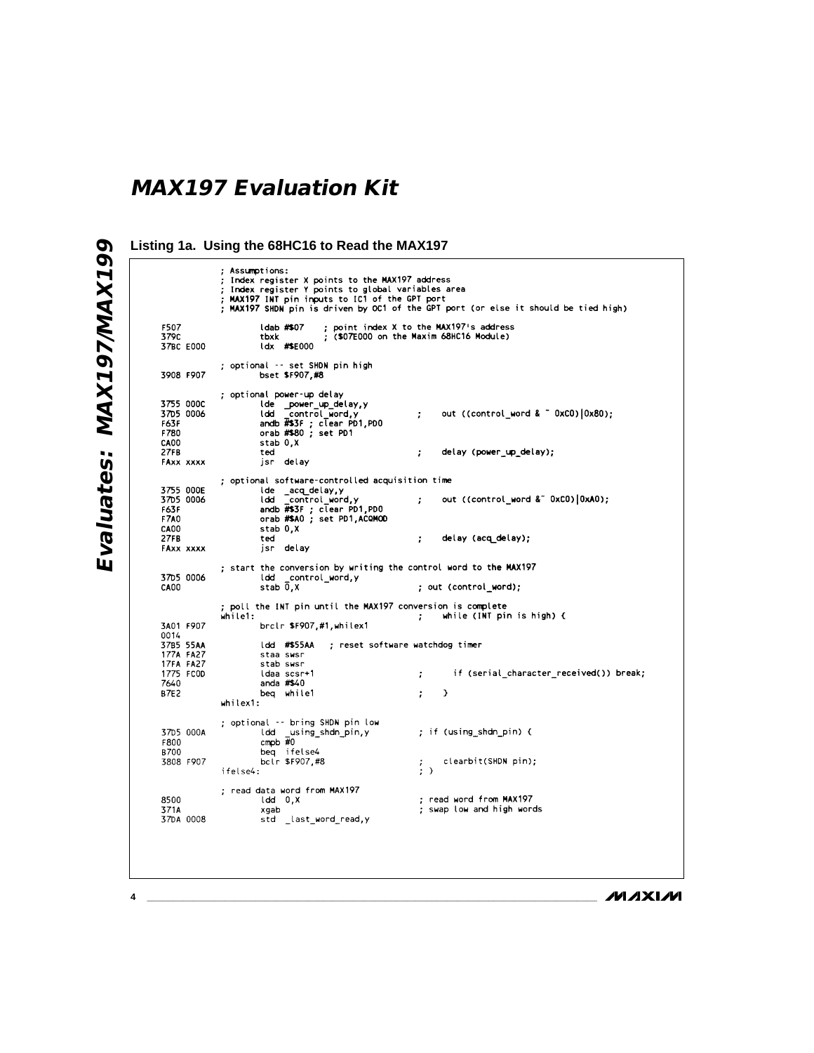Evaluates: MAX197/MAX199 **Evaluates: MAX197/MAX199**

**Listing 1a. Using the 68HC16 to Read the MAX197**Assumptions: Assumptions:<br>Index register X points to the MAX197 address<br>Index register Y points to global variables area<br>MAX197 INT pin inputs to IC1 of the GPT port<br>MAX197 SHDN pin is driven by OC1 of the GPT port (or else it should b ; point index X to the MAX197's address<br>; (\$07E000 on the Maxim 68HC16 Module) F507<br>3790 ldab #\$07 tbxk 37BC E000  $\frac{1}{4}$   $\frac{1}{4}$   $\frac{1}{4}$   $\frac{1}{4}$   $\frac{1}{4}$   $\frac{1}{4}$   $\frac{1}{4}$   $\frac{1}{4}$   $\frac{1}{4}$   $\frac{1}{4}$   $\frac{1}{4}$   $\frac{1}{4}$   $\frac{1}{4}$   $\frac{1}{4}$   $\frac{1}{4}$   $\frac{1}{4}$   $\frac{1}{4}$   $\frac{1}{4}$   $\frac{1}{4}$   $\frac{1}{4}$   $\frac{1}{4}$   $\frac{1}{4}$  ; optional -- set SHDN pin high bset \$F907,#8 3908 F907 ; optional power-up delay hat power-up detay, y<br>
ldd \_\_control\_word, y<br>
andb #\$3F; clear PD1, PD0<br>
orab #\$80; set PD1 3755 000C out ((control\_word & ~ 0xCO) [0x80); 3705 0006  $\cdot$ F63F CA00 stab 0,X 27FR ted delay (power\_up\_delay);  $\ddot{ }$ jsr delay FAXX XXXX ; optional software-controlled acquisition time lde \_acq\_delay,y<br>ldd \_control\_word,y<br>andb #\$3F; clear PD1,PD0<br>orab #\$A0; set PD1,ACQMOD 3755,000E 3705 0006 out ((control\_word &" 0xC0)[0xA0);  $\cdot$ **F63F F7A0** stab 0,X **CA00**  $27FB$ ted  $\ddot{ }$ delay (acq delay); jsr delay FAXX XXXX ; start the conversion by writing the control word to the MAX197 3705 0006 ldd control\_word,y<br>stab 0,X CA00 ; out (control\_word);  $\mathcal{L}_{\mathcal{A}}$ brclr \$F907,#1,whilex1 3A01 F907 0014<br>3785 55AA<br>177A FA27 Idd #\$55AA ; reset software watchdog timer staa swsr **17FA FA27** stab swsr 1775 FCOD ldaa scsr+1 if (serial\_character\_received()) break;  $\boldsymbol{i}$ 7640 anda #\$40 **B7E2** beq while1  $\mathcal{L}$  $\rightarrow$ whilex1: 37D5 000A ; if (using\_shdn\_pin) { F800 beg ifelse4<br>belr \$F907,#8 **B700** 3808 F907 clearbit(SHDN pin);  $\frac{7}{2}$ ifelse4: read data word from MAX197<br>ldd<sub>.</sub> 0,X ; read word from MAX197 8500 371A<br>37DA 0008 ; swap low and high words xgab std \_last\_word\_read,y

**MAXIM**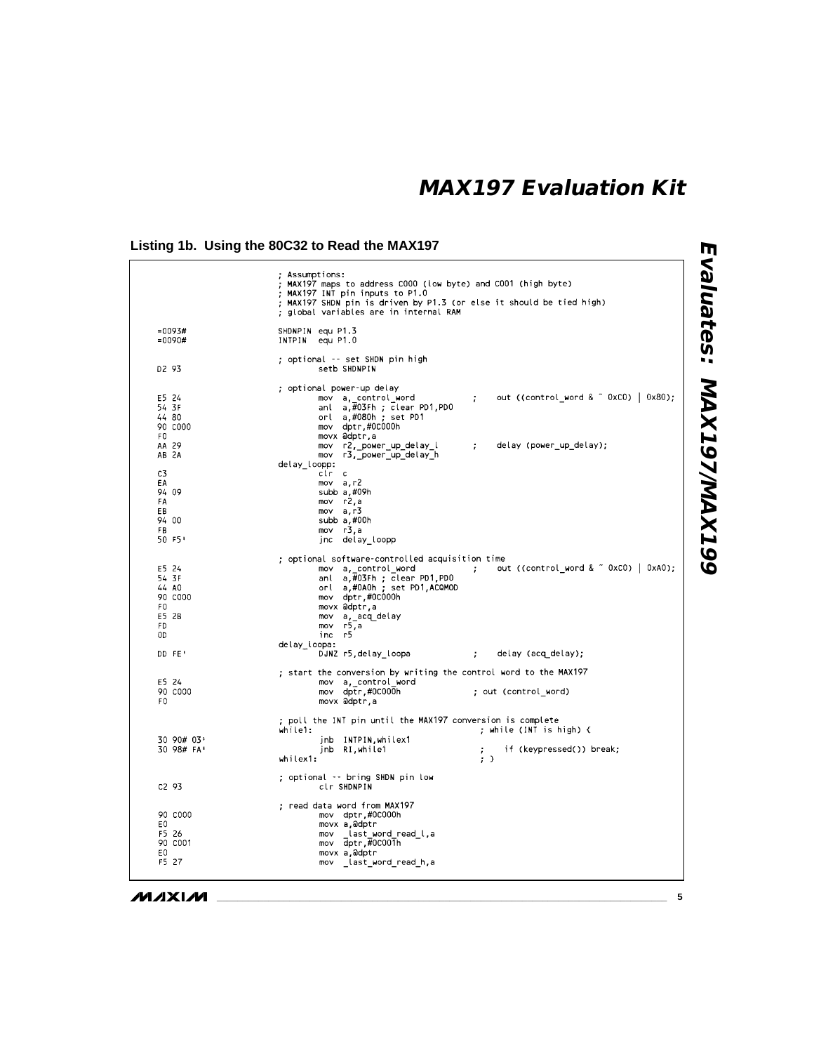## **Listing 1b. Using the 80C32 to Read the MAX197**

|                                                               | ; Assumptions:<br>; MAX197 maps to address C000 (low byte) and C001 (high byte)<br>; MAX197 INT pin inputs to P1.0<br>; MAX197 SHDN pin is driven by P1.3 (or else it should be tied high)<br>; global variables are in internal RAM                                                        |
|---------------------------------------------------------------|---------------------------------------------------------------------------------------------------------------------------------------------------------------------------------------------------------------------------------------------------------------------------------------------|
| $=0093#$<br>$=0090#$                                          | SHDNPIN equ P1.3<br>INTPIN equ P1.0                                                                                                                                                                                                                                                         |
| D2 93                                                         | : optional -- set SHDN pin high<br>setb SHDNPIN                                                                                                                                                                                                                                             |
|                                                               | : optional power-up delay                                                                                                                                                                                                                                                                   |
| E5 24<br>54 3F<br>44 80<br>90 CO00<br>F0                      | out ((control word $\&$ $\tilde{a}$ OxCO)   0x80);<br>mov a, control word<br>÷<br>anl a,#03Fh ; clear PD1,PD0<br>orl a,#080h; set PD1<br>mov dptr,#0C000h<br>movx @dptr.a                                                                                                                   |
| AA 29<br>AB 2A                                                | mov r2, power_up_delay_l<br>delay (power_up_delay);<br>$\ddot{\phantom{a}}$<br>mov r3, power_up_delay_h                                                                                                                                                                                     |
| C3<br>EA<br>94 09<br>FA<br>EВ<br>94 00<br>FB<br>50 F5'        | delay loopp:<br>clr<br>$\mathbf{C}$<br>mov a.r2<br>subb a,#09h<br>mov r2,a<br>mov a,r3<br>subb a.#00h<br>mov r3,a<br>jnc delay loopp                                                                                                                                                        |
| E5 24<br>54 3F<br>44 AO<br>90 COOO<br>FO<br>E5 2B<br>FD<br>0D | ; optional software-controlled acquisition time<br>mov a, control word<br>out ((control word $\&$ $\degree$ 0xCO) $\vert$ 0xAO);<br>$\ddot{i}$<br>anl a,#03Fh ; clear PD1,PD0<br>orl a,#0A0h ; set PD1,ACQMOD<br>mov dptr,#0C000h<br>movx adptr,a<br>mov a, acq delay<br>mov r5,a<br>inc r5 |
| DD FE'                                                        | delay loopa:<br>DJNZ r5, delay_loopa<br>delay (acq delay);<br>$\ddot{r}$                                                                                                                                                                                                                    |
| E5 24                                                         | ; start the conversion by writing the control word to the MAX197<br>mov a control word                                                                                                                                                                                                      |
| 90 COOO<br>F <sub>0</sub>                                     | mov dptr.#0C000h<br>; out (control word)<br>movx adptr,a                                                                                                                                                                                                                                    |
|                                                               | ; poll the INT pin until the MAX197 conversion is complete<br>; while (INT is high) {<br>while1:                                                                                                                                                                                            |
| 30 90# 03'<br>30 98# FA'                                      | jnb INTPIN, whilex1<br>if (keypressed()) break;<br>jnb RI, while 1<br>whilex1:<br>$;$ $\rightarrow$                                                                                                                                                                                         |
| C293                                                          | ; optional -- bring SHDN pin low<br>clr SHDNPIN                                                                                                                                                                                                                                             |
| 90 COOO<br>E0.<br>F5 26<br>90 CO01<br>E0<br>F5 27             | ; read data word from MAX197<br>mov dptr.#0C000h<br>movx a adptr<br>last word read l,a<br>mov<br>mov dptr,#0C001h<br>movx a,adptr<br>mov _last_word_read h,a                                                                                                                                |

Evaluates: MAX197/MAX199 **Evaluates: MAX197/MAX199**

**MAXIM**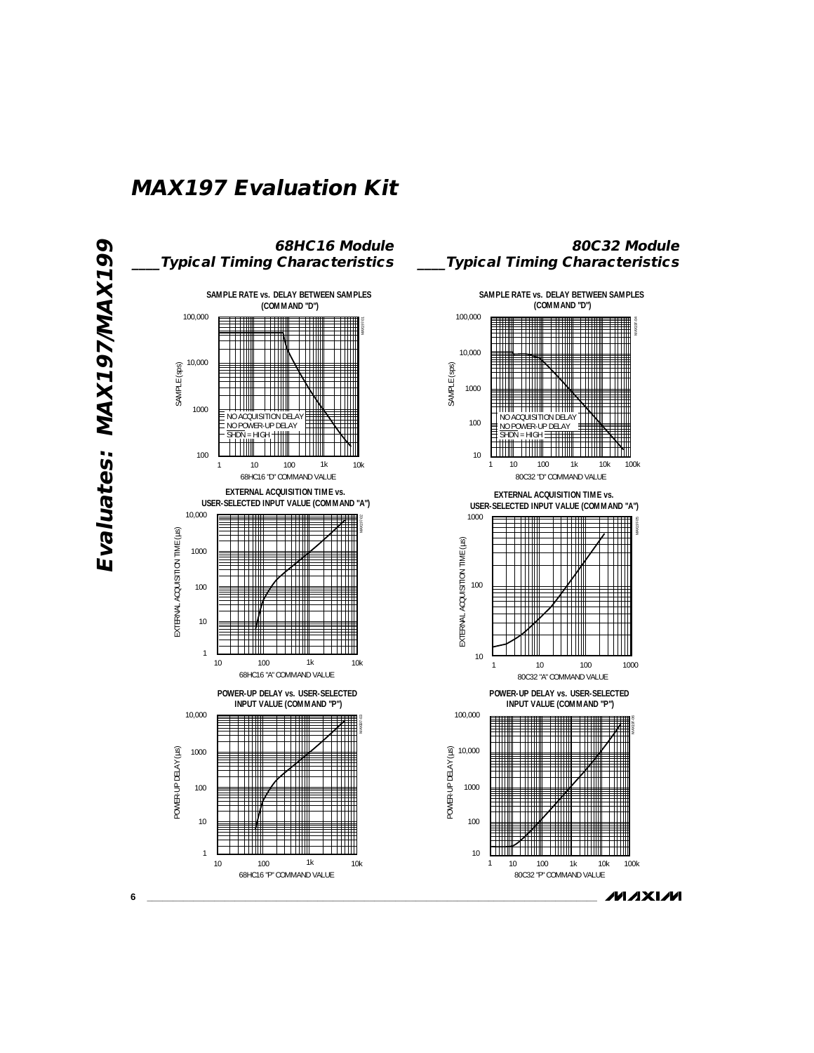

**MAXIM**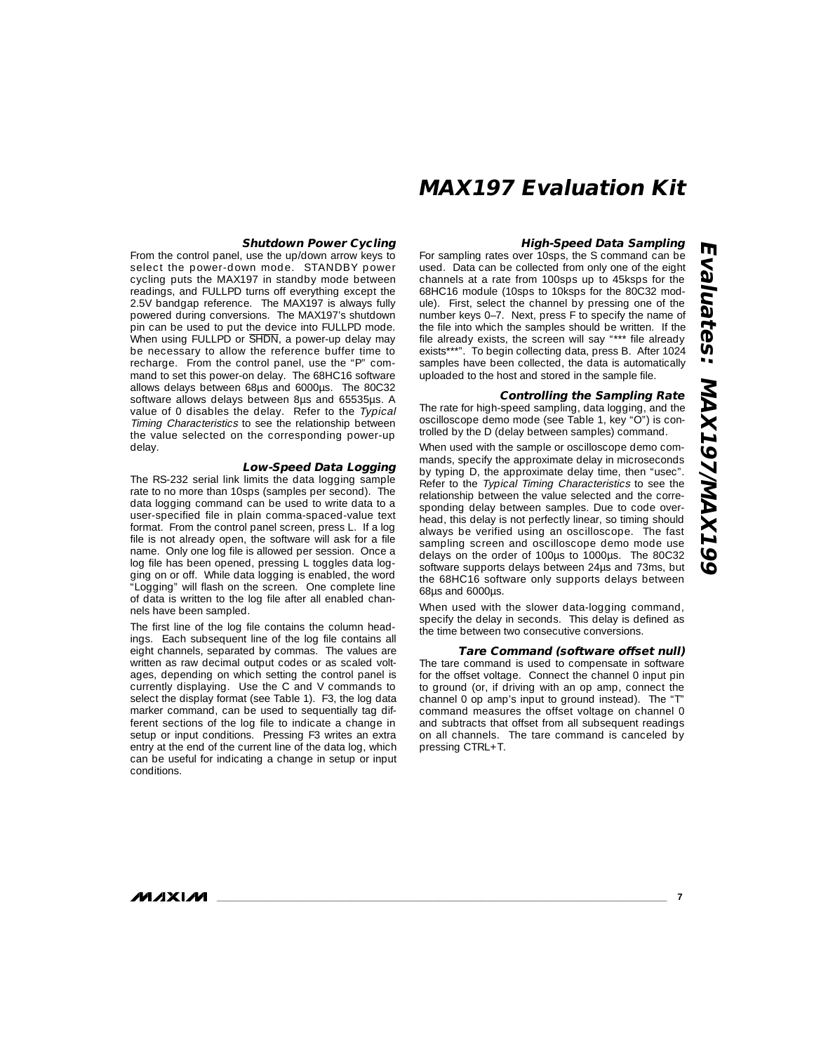#### **High-Speed Data Sampling**

For sampling rates over 10sps, the S command can be used. Data can be collected from only one of the eight channels at a rate from 100sps up to 45ksps for the 68HC16 module (10sps to 10ksps for the 80C32 module). First, select the channel by pressing one of the number keys 0–7. Next, press F to specify the name of the file into which the samples should be written. If the file already exists, the screen will say "\*\*\* file already exists\*\*\*". To begin collecting data, press B. After 1024 samples have been collected, the data is automatically uploaded to the host and stored in the sample file.

#### **Controlling the Sampling Rate**

The rate for high-speed sampling, data logging, and the oscilloscope demo mode (see Table 1, key "O") is controlled by the D (delay between samples) command.

When used with the sample or oscilloscope demo commands, specify the approximate delay in microseconds by typing D, the approximate delay time, then "usec". Refer to the Typical Timing Characteristics to see the relationship between the value selected and the corresponding delay between samples. Due to code overhead, this delay is not perfectly linear, so timing should always be verified using an oscilloscope. The fast sampling screen and oscilloscope demo mode use delays on the order of 100µs to 1000µs. The 80C32 software supports delays between 24µs and 73ms, but the 68HC16 software only supports delays between 68µs and 6000µs.

When used with the slower data-logging command, specify the delay in seconds. This delay is defined as the time between two consecutive conversions.

#### **Tare Command (software offset null)**

The tare command is used to compensate in software for the offset voltage. Connect the channel 0 input pin to ground (or, if driving with an op amp, connect the channel 0 op amp's input to ground instead). The "T" command measures the offset voltage on channel 0 and subtracts that offset from all subsequent readings on all channels. The tare command is canceled by pressing CTRL+T.

#### **Shutdown Power Cycling**

From the control panel, use the up/down arrow keys to select the power-down mode. STANDBY power cycling puts the MAX197 in standby mode between readings, and FULLPD turns off everything except the 2.5V bandgap reference. The MAX197 is always fully powered during conversions. The MAX197's shutdown pin can be used to put the device into FULLPD mode. When using FULLPD or  $\overline{SHDN}$ , a power-up delay may be necessary to allow the reference buffer time to recharge. From the control panel, use the "P" command to set this power-on delay. The 68HC16 software allows delays between 68µs and 6000µs. The 80C32 software allows delays between 8µs and 65535µs. A value of 0 disables the delay. Refer to the Typical Timing Characteristics to see the relationship between the value selected on the corresponding power-up delay.

#### **Low-Speed Data Logging**

The RS-232 serial link limits the data logging sample rate to no more than 10sps (samples per second). The data logging command can be used to write data to a user-specified file in plain comma-spaced-value text format. From the control panel screen, press L. If a log file is not already open, the software will ask for a file name. Only one log file is allowed per session. Once a log file has been opened, pressing L toggles data logging on or off. While data logging is enabled, the word "Logging" will flash on the screen. One complete line of data is written to the log file after all enabled channels have been sampled.

The first line of the log file contains the column headings. Each subsequent line of the log file contains all eight channels, separated by commas. The values are written as raw decimal output codes or as scaled voltages, depending on which setting the control panel is currently displaying. Use the C and V commands to select the display format (see Table 1). F3, the log data marker command, can be used to sequentially tag different sections of the log file to indicate a change in setup or input conditions. Pressing F3 writes an extra entry at the end of the current line of the data log, which can be useful for indicating a change in setup or input conditions.

**MAXIM**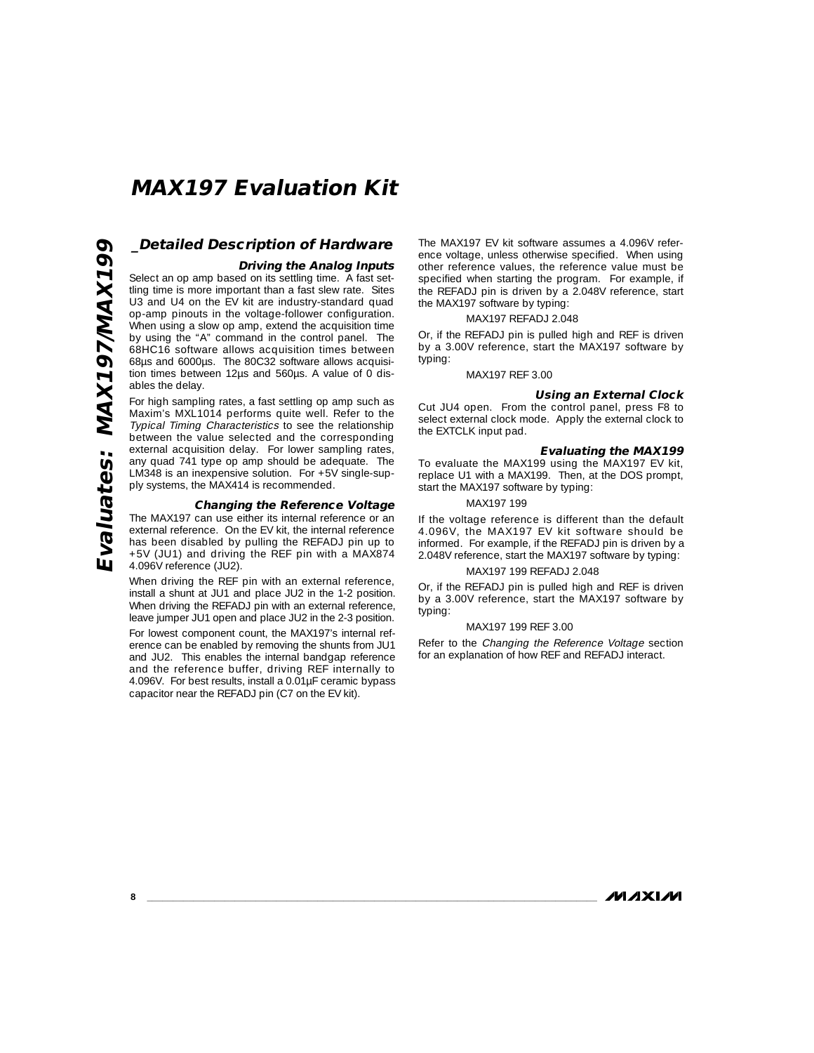## **\_Detailed Description of Hardware Driving the Analog Inputs**

Select an op amp based on its settling time. A fast settling time is more important than a fast slew rate. Sites U3 and U4 on the EV kit are industry-standard quad op-amp pinouts in the voltage-follower configuration. When using a slow op amp, extend the acquisition time by using the "A" command in the control panel. The 68HC16 software allows acquisition times between 68µs and 6000µs. The 80C32 software allows acquisition times between 12µs and 560µs. A value of 0 disables the delay.

For high sampling rates, a fast settling op amp such as Maxim's MXL1014 performs quite well. Refer to the Typical Timing Characteristics to see the relationship between the value selected and the corresponding external acquisition delay. For lower sampling rates, any quad 741 type op amp should be adequate. The LM348 is an inexpensive solution. For +5V single-supply systems, the MAX414 is recommended.

#### **Changing the Reference Voltage**

The MAX197 can use either its internal reference or an external reference. On the EV kit, the internal reference has been disabled by pulling the REFADJ pin up to +5V (JU1) and driving the REF pin with a MAX874 4.096V reference (JU2).

When driving the REF pin with an external reference, install a shunt at JU1 and place JU2 in the 1-2 position. When driving the REFADJ pin with an external reference, leave jumper JU1 open and place JU2 in the 2-3 position.

For lowest component count, the MAX197's internal reference can be enabled by removing the shunts from JU1 and JU2. This enables the internal bandgap reference and the reference buffer, driving REF internally to 4.096V. For best results, install a 0.01µF ceramic bypass capacitor near the REFADJ pin (C7 on the EV kit).

The MAX197 EV kit software assumes a 4.096V reference voltage, unless otherwise specified. When using other reference values, the reference value must be specified when starting the program. For example, if the REFADJ pin is driven by a 2.048V reference, start the MAX197 software by typing:

#### MAX197 REFADJ 2.048

Or, if the REFADJ pin is pulled high and REF is driven by a 3.00V reference, start the MAX197 software by typing:

#### MAX197 REF 3.00

#### **Using an External Clock**

Cut JU4 open. From the control panel, press F8 to select external clock mode. Apply the external clock to the EXTCLK input pad.

#### **Evaluating the MAX199**

To evaluate the MAX199 using the MAX197 EV kit, replace U1 with a MAX199. Then, at the DOS prompt, start the MAX197 software by typing:

### MAX197 199

If the voltage reference is different than the default 4.096V, the MAX197 EV kit software should be informed. For example, if the REFADJ pin is driven by a 2.048V reference, start the MAX197 software by typing:

#### MAX197 199 REFADJ 2.048

Or, if the REFADJ pin is pulled high and REF is driven by a 3.00V reference, start the MAX197 software by typing:

#### MAX197 199 REF 3.00

Refer to the Changing the Reference Voltage section for an explanation of how REF and REFADJ interact.

**MAXIM**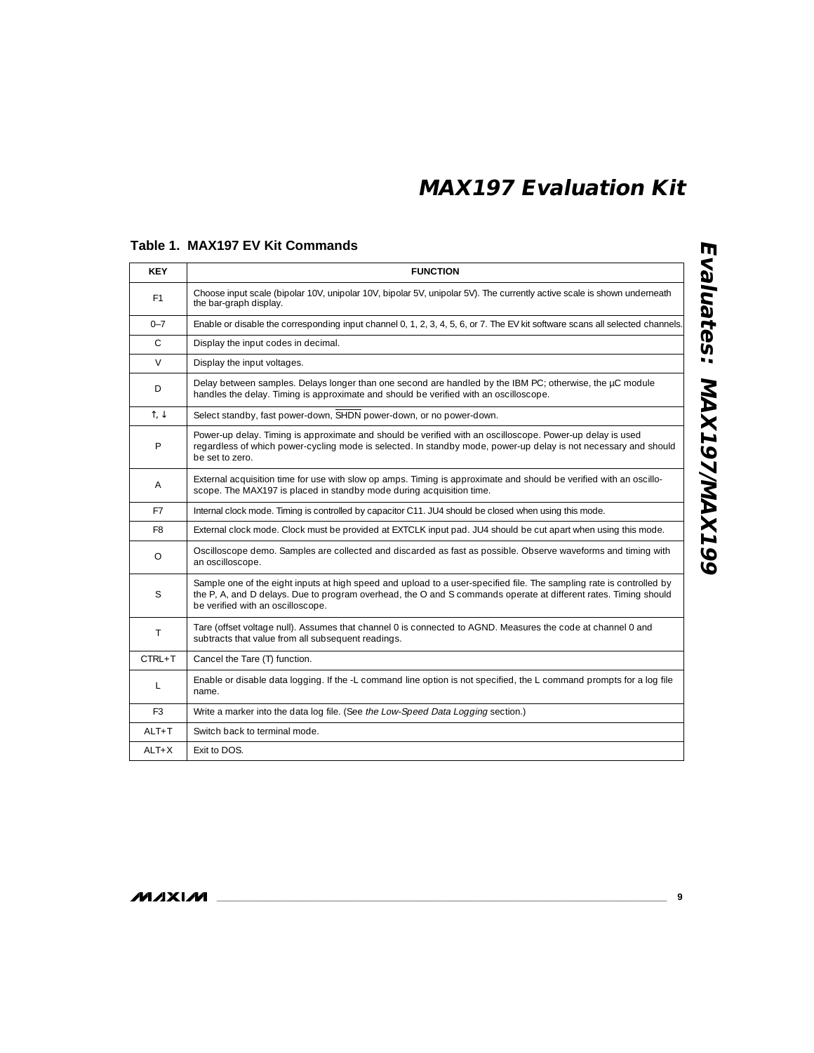| <b>KEY</b>             | <b>FUNCTION</b>                                                                                                                                                                                                                                                              |
|------------------------|------------------------------------------------------------------------------------------------------------------------------------------------------------------------------------------------------------------------------------------------------------------------------|
| F <sub>1</sub>         | Choose input scale (bipolar 10V, unipolar 10V, bipolar 5V, unipolar 5V). The currently active scale is shown underneath<br>the bar-graph display.                                                                                                                            |
| $0 - 7$                | Enable or disable the corresponding input channel 0, 1, 2, 3, 4, 5, 6, or 7. The EV kit software scans all selected channels.                                                                                                                                                |
| $\mathsf{C}$           | Display the input codes in decimal.                                                                                                                                                                                                                                          |
| V                      | Display the input voltages.                                                                                                                                                                                                                                                  |
| D                      | Delay between samples. Delays longer than one second are handled by the IBM PC; otherwise, the µC module<br>handles the delay. Timing is approximate and should be verified with an oscilloscope.                                                                            |
| $\uparrow, \downarrow$ | Select standby, fast power-down, SHDN power-down, or no power-down.                                                                                                                                                                                                          |
| P                      | Power-up delay. Timing is approximate and should be verified with an oscilloscope. Power-up delay is used<br>regardless of which power-cycling mode is selected. In standby mode, power-up delay is not necessary and should<br>be set to zero.                              |
| A                      | External acquisition time for use with slow op amps. Timing is approximate and should be verified with an oscillo-<br>scope. The MAX197 is placed in standby mode during acquisition time.                                                                                   |
| F7                     | Internal clock mode. Timing is controlled by capacitor C11. JU4 should be closed when using this mode.                                                                                                                                                                       |
| F8                     | External clock mode. Clock must be provided at EXTCLK input pad. JU4 should be cut apart when using this mode.                                                                                                                                                               |
| $\circ$                | Oscilloscope demo. Samples are collected and discarded as fast as possible. Observe waveforms and timing with<br>an oscilloscope.                                                                                                                                            |
| S                      | Sample one of the eight inputs at high speed and upload to a user-specified file. The sampling rate is controlled by<br>the P, A, and D delays. Due to program overhead, the O and S commands operate at different rates. Timing should<br>be verified with an oscilloscope. |
| T                      | Tare (offset voltage null). Assumes that channel 0 is connected to AGND. Measures the code at channel 0 and<br>subtracts that value from all subsequent readings.                                                                                                            |
| $CTRL + T$             | Cancel the Tare (T) function.                                                                                                                                                                                                                                                |
| L                      | Enable or disable data logging. If the -L command line option is not specified, the L command prompts for a log file<br>name.                                                                                                                                                |
| F <sub>3</sub>         | Write a marker into the data log file. (See the Low-Speed Data Logging section.)                                                                                                                                                                                             |
| $ALT+T$                | Switch back to terminal mode.                                                                                                                                                                                                                                                |
| $ALT+X$                | Exit to DOS.                                                                                                                                                                                                                                                                 |

### **Table 1. MAX197 EV Kit Commands**

 $\overline{a}$ 

**NVIXVN**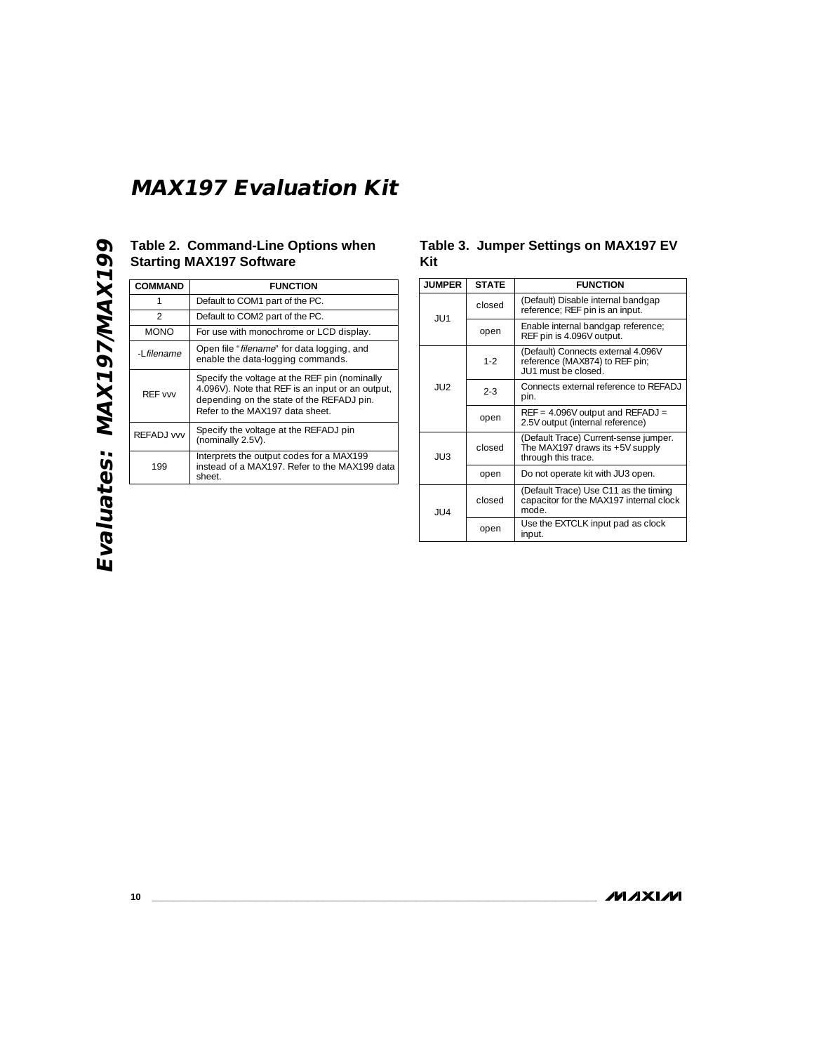## **Table 2. Command-Line Options when Starting MAX197 Software**

| <b>COMMAND</b> | <b>FUNCTION</b>                                                                                                                                                                   |
|----------------|-----------------------------------------------------------------------------------------------------------------------------------------------------------------------------------|
|                | Default to COM1 part of the PC.                                                                                                                                                   |
| $\mathcal{P}$  | Default to COM2 part of the PC.                                                                                                                                                   |
| <b>MONO</b>    | For use with monochrome or LCD display.                                                                                                                                           |
| -I filename    | Open file "filename" for data logging, and<br>enable the data-logging commands.                                                                                                   |
| RFF vw         | Specify the voltage at the REF pin (nominally<br>4.096V). Note that REF is an input or an output,<br>depending on the state of the REFADJ pin.<br>Refer to the MAX197 data sheet. |
| RFFADJ vvv     | Specify the voltage at the REFADJ pin<br>(nominally 2.5V).                                                                                                                        |
| 199            | Interprets the output codes for a MAX199<br>instead of a MAX197. Refer to the MAX199 data<br>sheet.                                                                               |

### **Table 3. Jumper Settings on MAX197 EV Kit**

| <b>JUMPER</b> | <b>STATE</b> | <b>FUNCTION</b>                                                                                 |
|---------------|--------------|-------------------------------------------------------------------------------------------------|
| JU1           | closed       | (Default) Disable internal bandgap<br>reference; REF pin is an input.                           |
|               | open         | Enable internal bandgap reference;<br>REF pin is 4.096V output.                                 |
| JU2           | $1-2$        | (Default) Connects external 4.096V<br>reference (MAX874) to REF pin;<br>JU1 must be closed.     |
|               | $2 - 3$      | Connects external reference to REFADJ<br>pin.                                                   |
|               | open         | $REF = 4.096V$ output and $REFADJ =$<br>2.5V output (internal reference)                        |
| JU3           | closed       | (Default Trace) Current-sense jumper.<br>The MAX197 draws its +5V supply<br>through this trace. |
|               | open         | Do not operate kit with JU3 open.                                                               |
| JU4           | closed       | (Default Trace) Use C11 as the timing<br>capacitor for the MAX197 internal clock<br>mode.       |
|               | open         | Use the EXTCLK input pad as clock<br>input.                                                     |

**MAXIM**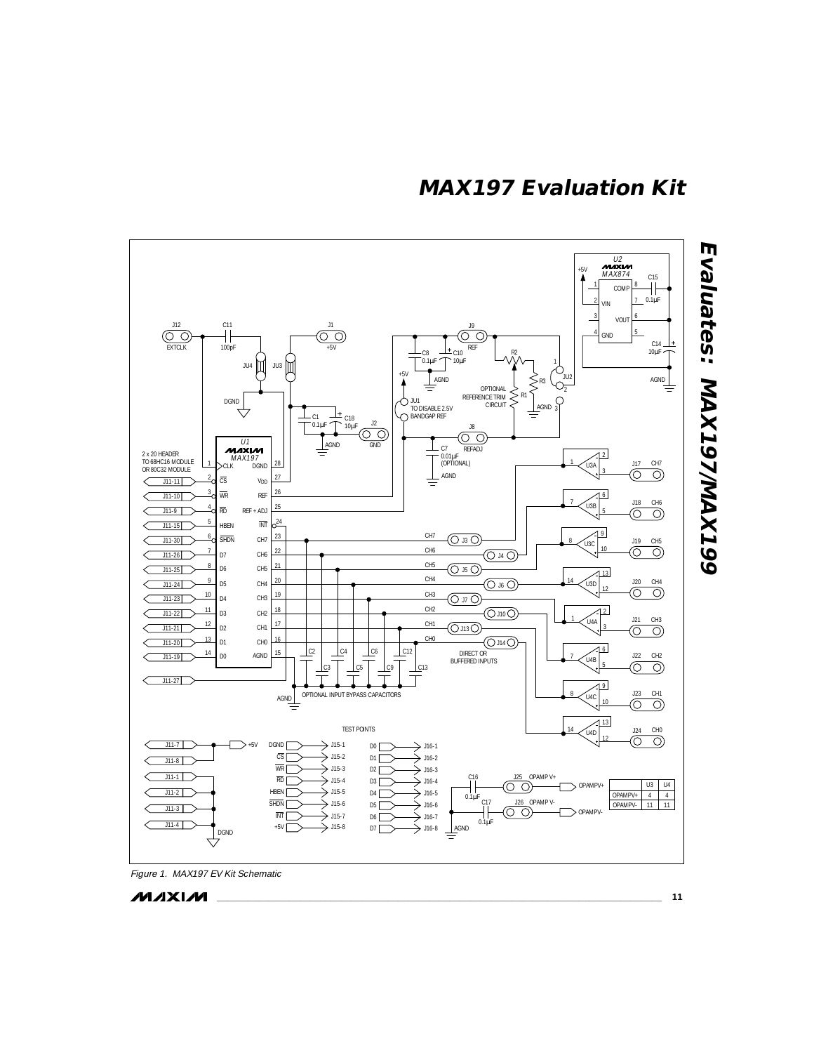

**\_\_\_\_\_\_\_\_\_\_\_\_\_\_\_\_\_\_\_\_\_\_\_\_\_\_\_\_\_\_\_\_\_\_\_\_\_\_\_\_\_\_\_\_\_\_\_\_\_\_\_\_\_\_\_\_\_\_\_\_\_\_\_\_\_\_\_\_\_\_\_\_\_\_\_\_\_\_\_\_\_\_\_\_\_\_ 11**

**MAXIM**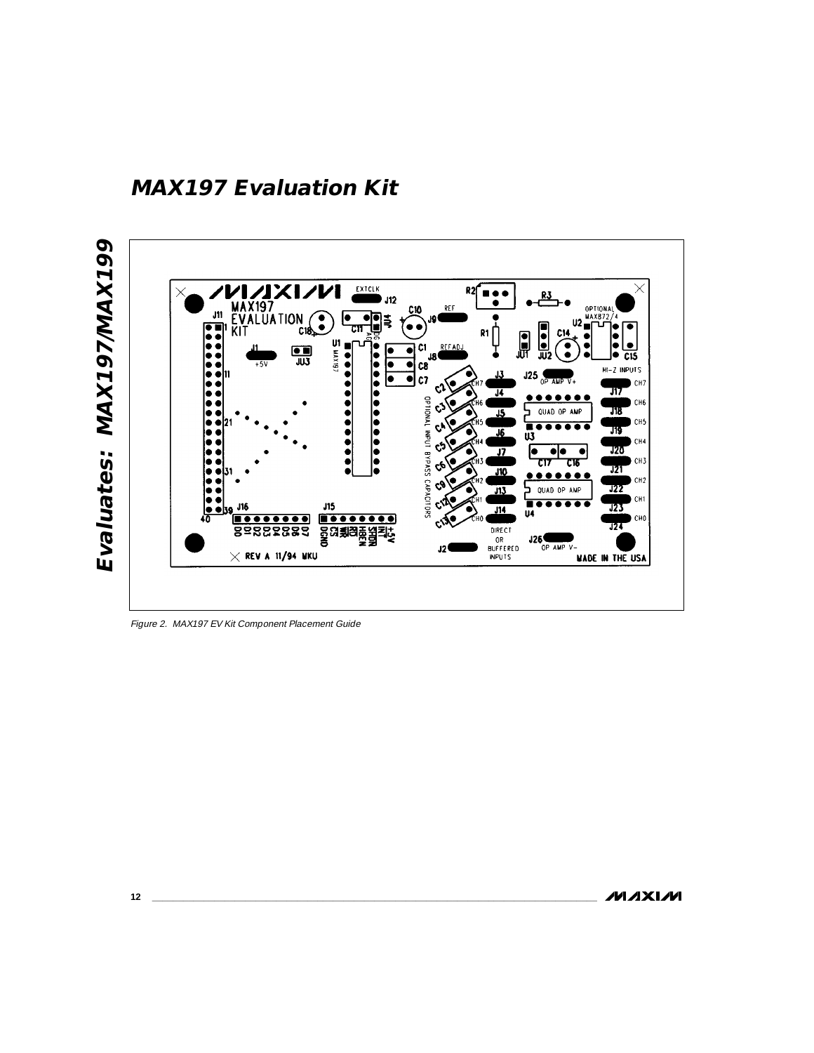**MAX197 Evaluation Kit**





Figure 2. MAX197 EV Kit Component Placement Guide

**MAXIM**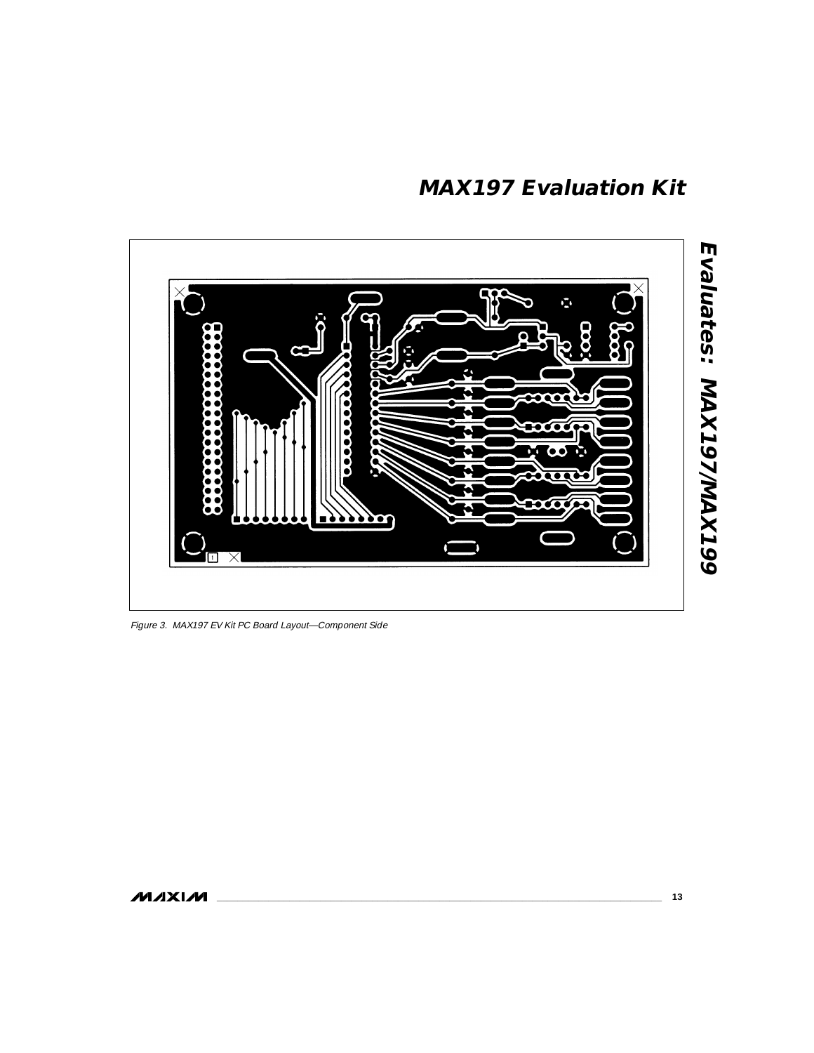

Figure 3. MAX197 EV Kit PC Board Layout—Component Side